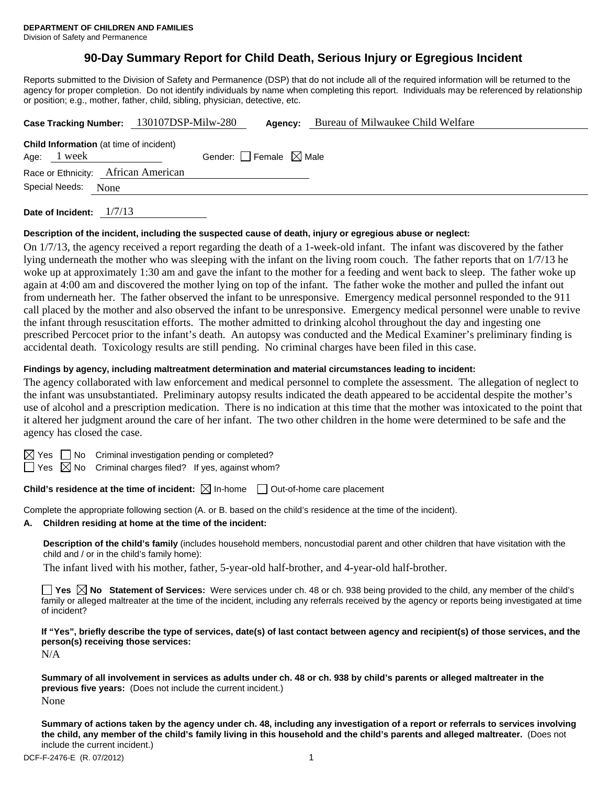# **90-Day Summary Report for Child Death, Serious Injury or Egregious Incident**

Reports submitted to the Division of Safety and Permanence (DSP) that do not include all of the required information will be returned to the agency for proper completion. Do not identify individuals by name when completing this report. Individuals may be referenced by relationship or position; e.g., mother, father, child, sibling, physician, detective, etc.

|                     | Case Tracking Number: 130107DSP-Milw-280       |                                 | Agency: | Bureau of Milwaukee Child Welfare |
|---------------------|------------------------------------------------|---------------------------------|---------|-----------------------------------|
|                     | <b>Child Information</b> (at time of incident) |                                 |         |                                   |
| Age: 1 week         |                                                | Gender: Female $\boxtimes$ Male |         |                                   |
|                     | Race or Ethnicity: African American            |                                 |         |                                   |
| Special Needs: None |                                                |                                 |         |                                   |
|                     |                                                |                                 |         |                                   |

**Date of Incident:** 1/7/13

## **Description of the incident, including the suspected cause of death, injury or egregious abuse or neglect:**

On 1/7/13, the agency received a report regarding the death of a 1-week-old infant. The infant was discovered by the father lying underneath the mother who was sleeping with the infant on the living room couch. The father reports that on 1/7/13 he woke up at approximately 1:30 am and gave the infant to the mother for a feeding and went back to sleep. The father woke up again at 4:00 am and discovered the mother lying on top of the infant. The father woke the mother and pulled the infant out from underneath her. The father observed the infant to be unresponsive. Emergency medical personnel responded to the 911 call placed by the mother and also observed the infant to be unresponsive. Emergency medical personnel were unable to revive the infant through resuscitation efforts. The mother admitted to drinking alcohol throughout the day and ingesting one prescribed Percocet prior to the infant's death. An autopsy was conducted and the Medical Examiner's preliminary finding is accidental death. Toxicology results are still pending. No criminal charges have been filed in this case.

#### **Findings by agency, including maltreatment determination and material circumstances leading to incident:**

The agency collaborated with law enforcement and medical personnel to complete the assessment. The allegation of neglect to the infant was unsubstantiated. Preliminary autopsy results indicated the death appeared to be accidental despite the mother's use of alcohol and a prescription medication. There is no indication at this time that the mother was intoxicated to the point that it altered her judgment around the care of her infant. The two other children in the home were determined to be safe and the agency has closed the case.

 $\boxtimes$  Yes  $\Box$  No Criminal investigation pending or completed?

 $\Box$  Yes  $\boxtimes$  No Criminal charges filed? If yes, against whom?

## **Child's residence at the time of incident:**  $\boxtimes$  In-home  $\Box$  Out-of-home care placement

Complete the appropriate following section (A. or B. based on the child's residence at the time of the incident).

**A. Children residing at home at the time of the incident:**

**Description of the child's family** (includes household members, noncustodial parent and other children that have visitation with the child and / or in the child's family home):

The infant lived with his mother, father, 5-year-old half-brother, and 4-year-old half-brother.

**Yes No Statement of Services:** Were services under ch. 48 or ch. 938 being provided to the child, any member of the child's family or alleged maltreater at the time of the incident, including any referrals received by the agency or reports being investigated at time of incident?

**If "Yes", briefly describe the type of services, date(s) of last contact between agency and recipient(s) of those services, and the person(s) receiving those services:** 

N/A

**Summary of all involvement in services as adults under ch. 48 or ch. 938 by child's parents or alleged maltreater in the previous five years:** (Does not include the current incident.) None

**Summary of actions taken by the agency under ch. 48, including any investigation of a report or referrals to services involving the child, any member of the child's family living in this household and the child's parents and alleged maltreater.** (Does not include the current incident.)